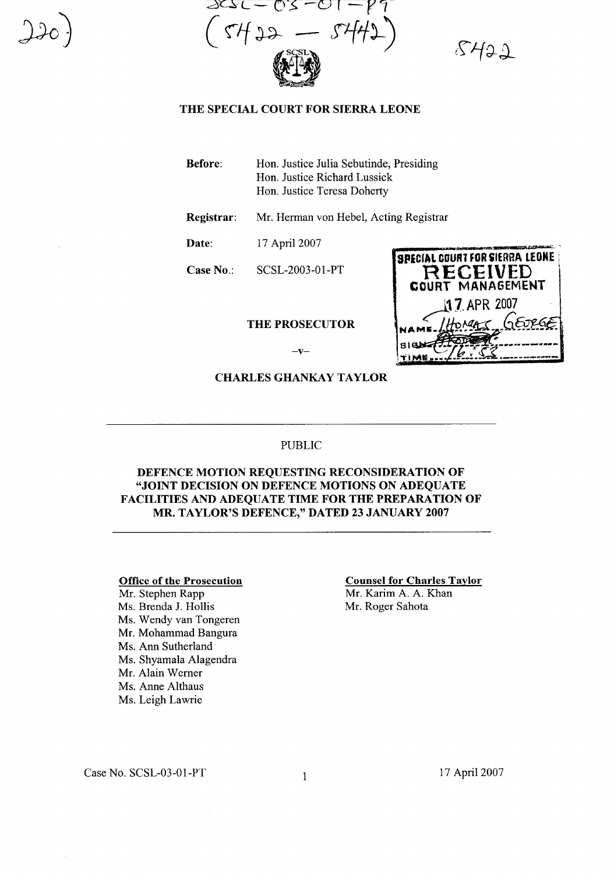

 $8422$ 

### **THE SPECIAL COURT FOR SIERRA LEONE**

**Before:** Hon. Justice Julia Sebutinde, Presiding Hon. Justice Richard Lussick Hon. Justice Teresa Doherty

**Registrar:** Mr. Hennan von Hebel, Acting Registrar

**Date:** 17 April 2007

**Case** No.: SCSL-2003-0l-PT

## **THE PROSECUTOR**

| <b>SPECIAL COURT FOR SIERRA LEONE</b><br>RECEIVED<br>COURT MANAGEMENT |
|-----------------------------------------------------------------------|
| 117, APR 2007                                                         |
| HOMAS GEORGET<br>NAME.                                                |
|                                                                       |

 $-v-$ 

**CHARLESGHANKAYTAYLOR**

#### PUBLIC

## **DEFENCE MOTION REQUESTING RECONSIDERATION OF "JOINT DECISION ON DEFENCE MOTIONS ON ADEQUATE FACILITIES AND ADEQUATE TIME FOR THE PREPARATION OF MR. TAYLOR'S DEFENCE," DATED 23 JANUARY 2007**

#### **Office of the Prosecution**

Mr. Stephen Rapp Ms. Brenda 1. Hollis Ms. Wendy van Tongeren Mr. Mohammad Bangura Ms. Ann Sutherland Ms. Shyamala Alagendra Mr. Alain Werner Ms. Anne Althaus Ms. Leigh Lawrie

#### **Counsel for Charles Taylor**

Mr. Karim A. A. Khan Mr. Roger Sahota

Case No.  $SCSL-03-01-PT$  1

17 April 2007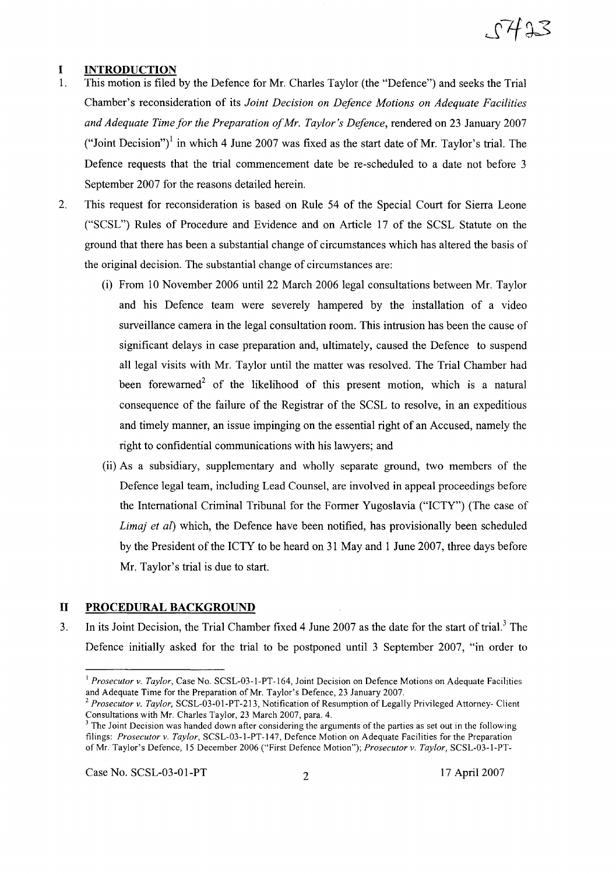# $27423$

## **I INTRODUCTION**

- 1. This motion is filed by the Defence for Mr. Charles Taylor (the "Defence") and seeks the Trial Chamber's reconsideration of its *Joint Decision on Defence Motions on Adequate Facilities and Adequate Time for the Preparation ofMr. Taylor's Defence,* rendered on 23 January 2007 ("Joint Decision")<sup>1</sup> in which 4 June 2007 was fixed as the start date of Mr. Taylor's trial. The Defence requests that the trial commencement date be re-scheduled to a date not before 3 September 2007 for the reasons detailed herein.
- 2. This request for reconsideration is based on Rule 54 of the Special Court for Sierra Leone ("SCSL") Rules of Procedure and Evidence and on Article 17 of the SCSL Statute on the ground that there has been a substantial change of circumstances which has altered the basis of the original decision. The substantial change of circumstances are:
	- (i) From 10 November 2006 until 22 March 2006 legal consultations between Mr. Taylor and his Defence team were severely hampered by the installation of a video surveillance camera in the legal consultation room. This intrusion has been the cause of significant delays in case preparation and, ultimately, caused the Defence to suspend all legal visits with Mr. Taylor until the matter was resolved. The Trial Chamber had been forewarned<sup>2</sup> of the likelihood of this present motion, which is a natural consequence of the failure of the Registrar of the SCSL to resolve, in an expeditious and timely manner, an issue impinging on the essential right of an Accused, namely the right to confidential communications with his lawyers; and
	- (ii) As a subsidiary, supplementary and wholly separate ground, two members of the Defence legal team, including Lead Counsel, are involved in appeal proceedings before the International Criminal Tribunal for the Former Yugoslavia ("ICTY") (The case of *Lima) et al)* which, the Defence have been notified, has provisionally been scheduled by the President of the ICTY to be heard on 31 May and 1 June 2007, three days before Mr. Taylor's trial is due to start.

### **II PROCEDURAL BACKGROUND**

3. In its Joint Decision, the Trial Chamber fixed 4 June 2007 as the date for the start of trial.<sup>3</sup> The Defence initially asked for the trial to be postponed until 3 September 2007, "in order to

Case No. SCSL-03-01-PT 2 17 April 2007

<sup>&</sup>lt;sup>1</sup> *Prosecutor v. Taylor*, Case No. SCSL-03-1-PT-164, Joint Decision on Defence Motions on Adequate Facilities and Adequate Time for the Preparation of Mr. Taylor's Defence, 23 January 2007.

<sup>2</sup> *Prosecutor v. Taylor,* SCSL-03-01-PT-213, Notification of Resumption of Legally Privileged Attorney- Client Consultations with Mr. Charles Taylor, 23 March 2007, para. 4.

 $3$  The Joint Decision was handed down after considering the arguments of the parties as set out in the following filings: *Prosecutor v. Taylor,* SCSL-03-I-PT-147, Defence Motion on Adequate Facilities for the Preparation of Mr. Taylor's Defence, 15 December 2006 ("First Defence Motion"); *Prosecutor v. Taylor,* SCSL-03-I-PT-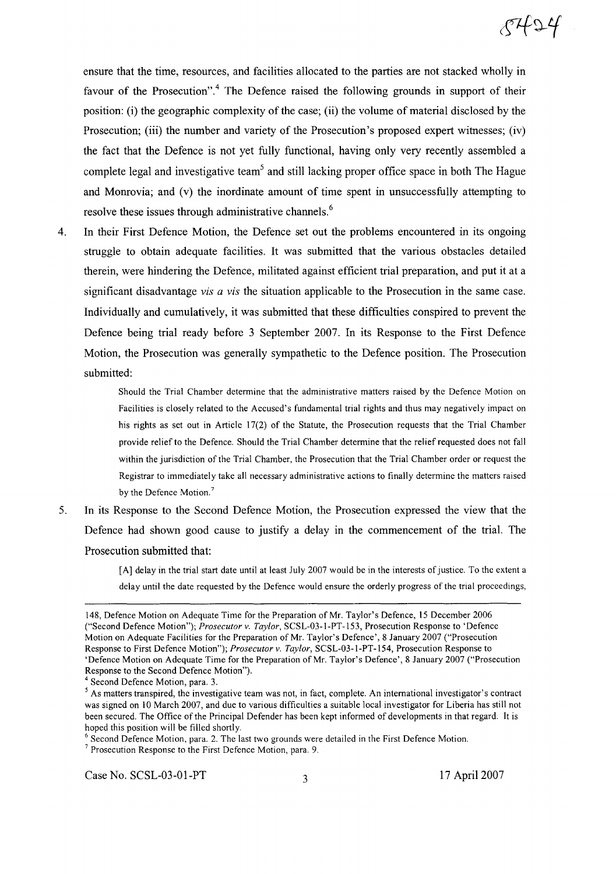ensure that the time, resources, and facilities allocated to the parties are not stacked wholly in favour of the Prosecution".<sup>4</sup> The Defence raised the following grounds in support of their position: (i) the geographic complexity of the case; (ii) the volume of material disclosed by the Prosecution; (iii) the number and variety of the Prosecution's proposed expert witnesses; (iv) the fact that the Defence is not yet fully functional, having only very recently assembled a complete legal and investigative team<sup>5</sup> and still lacking proper office space in both The Hague and Monrovia; and (v) the inordinate amount of time spent in unsuccessfully attempting to resolve these issues through administrative channels.<sup>6</sup>

4. In their First Defence Motion, the Defence set out the problems encountered in its ongoing struggle to obtain adequate facilities. It was submitted that the various obstacles detailed therein, were hindering the Defence, militated against efficient trial preparation, and put it at a significant disadvantage *vis a vis* the situation applicable to the Prosecution in the same case. Individually and cumulatively, it was submitted that these difficulties conspired to prevent the Defence being trial ready before 3 September 2007. In its Response to the First Defence Motion, the Prosecution was generally sympathetic to the Defence position. The Prosecution submitted:

> Should the Trial Chamber determine that the administrative matters raised by the Defence Motion on Facilities is closely related to the Accused's fundamental trial rights and thus may negatively impact on his rights as set out in Article 17(2) of the Statute, the Prosecution requests that the Trial Chamber provide relief to the Defence. Should the Trial Chamber determine that the relief requested does not fall within the jurisdiction of the Trial Chamber, the Prosecution that the Trial Chamber order or request the Registrar to immediately take all necessary administrative actions to finally determine the matters raised by the Defence Motion.<sup>7</sup>

5. In its Response to the Second Defence Motion, the Prosecution expressed the view that the Defence had shown good cause to justify a delay in the commencement of the trial. The Prosecution submitted that:

> [A] delay in the trial start date until at least July 2007 would be in the interests of justice. To the extent a delay until the date requested by the Defence would ensure the orderly progress of the trial proceedings,

<sup>6</sup> Second Defence Motion, para. 2. The last two grounds were detailed in the First Defence Motion.

<sup>148,</sup> Defence Motion on Adequate Time for the Preparation of Mr. Taylor's Defence, 15 December 2006 ("Second Defence Motion"); *Prosecutor v. Taylor,* SCSL-03-I-PT-153, Prosecution Response to 'Defence Motion on Adequate Facilities for the Preparation of Mr. Taylor's Defence', 8 January 2007 ("Prosecution Response to First Defence Motion"); *Prosecutor v. Taylor,* SCSL-03-I-PT-154, Prosecution Response to 'Defence Motion on Adequate Time for the Preparation of Mr. Taylor's Defence', 8 January 2007 ("Prosecution Response to the Second Defence Motion").

<sup>4</sup> Second Defence Motion, para. 3.

<sup>&</sup>lt;sup>5</sup> As matters transpired, the investigative team was not, in fact, complete. An international investigator's contract was signed on 10 March 2007, and due to various difficulties a suitable local investigator for Liberia has still not been secured. The Office of the Principal Defender has been kept informed of developments in that regard. It is hoped this position will be filled shortly.

<sup>7</sup> Prosecution Response to the First Defence Motion, para. 9.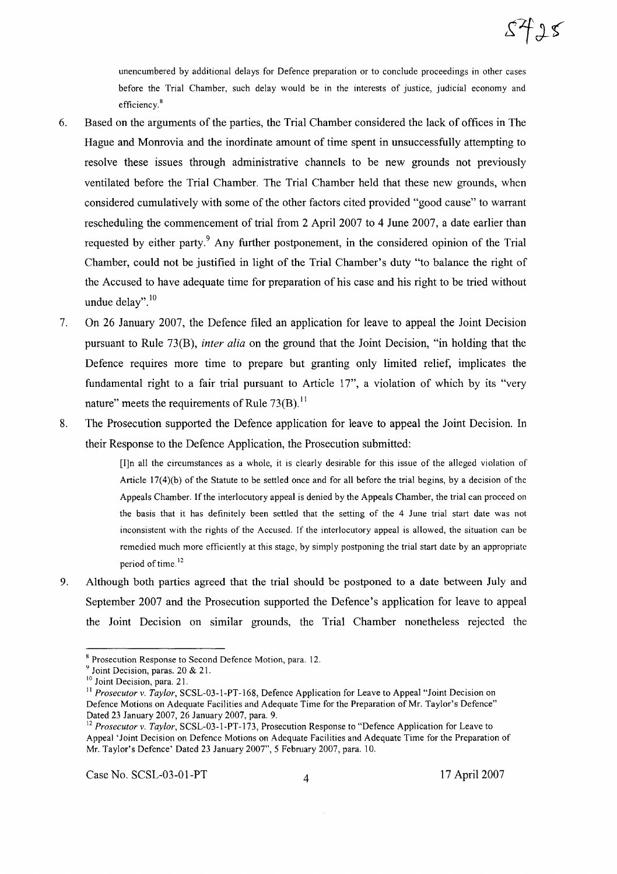unencumbered by additional delays for Defence preparation or to conclude proceedings in other cases before the Trial Chamber, such delay would be in the interests of justice, judicial economy and efficiency.<sup>8</sup>

- 6. Based on the arguments of the parties, the Trial Chamber considered the lack of offices in The Hague and Monrovia and the inordinate amount of time spent in unsuccessfully attempting to resolve these issues through administrative channels to be new grounds not previously ventilated before the Trial Chamber. The Trial Chamber held that these new grounds, when considered cumulatively with some of the other factors cited provided "good cause" to warrant rescheduling the commencement of trial from 2 April 2007 to 4 June 2007, a date earlier than requested by either party.<sup>9</sup> Any further postponement, in the considered opinion of the Trial Chamber, could not be justified in light of the Trial Chamber's duty "to balance the right of the Accused to have adequate time for preparation of his case and his right to be tried without undue delay". $10$
- 7. On 26 January 2007, the Defence filed an application for leave to appeal the Joint Decision pursuant to Rule 73(B), *inter alia* on the ground that the Joint Decision, "in holding that the Defence requires more time to prepare but granting only limited relief, implicates the fundamental right to a fair trial pursuant to Article 17", a violation of which by its "very nature" meets the requirements of Rule  $73(B)$ .<sup>11</sup>
- 8. The Prosecution supported the Defence application for leave to appeal the Joint Decision. In their Response to the Defence Application, the Prosecution submitted:

[I]n all the circumstances as a whole, it is clearly desirable for this issue of the alleged violation of Article I7(4)(b) of the Statute to be settled once and for all before the trial begins, by a decision of the Appeals Chamber. Ifthe interlocutory appeal is denied by the Appeals Chamber, the trial can proceed on the basis that it has definitely been settled that the setting of the 4 June trial start date was not inconsistent with the rights of the Accused. If the interlocutory appeal is allowed, the situation can be remedied much more efficiently at this stage, by simply postponing the trial start date by an appropriate period of time. $12$ 

9. Although both parties agreed that the trial should be postponed to a date between July and September 2007 and the Prosecution supported the Defence's application for leave to appeal the Joint Decision on similar grounds, the Trial Chamber nonetheless rejected the

Case No. SCSL-03-01-PT 4 17 April 2007

<sup>8</sup> Prosecution Response to Second Defence Motion, para. 12.

<sup>&</sup>lt;sup>9</sup> Joint Decision, paras. 20 & 21.

<sup>&</sup>lt;sup>10</sup> Joint Decision, para. 21.

<sup>&</sup>lt;sup>11</sup> Prosecutor v. Taylor, SCSL-03-1-PT-168, Defence Application for Leave to Appeal "Joint Decision on Defence Motions on Adequate Facilities and Adequate Time for the Preparation of Mr. Taylor's Defence" Dated 23 January 2007, 26 January 2007, para. 9.

<sup>12</sup> *Prosecutor* v. *Taylor,* SCSL-03-I-PT-173, Prosecution Response to "Defence Application for Leave to Appeal'Joint Decision on Defence Motions on Adequate Facilities and Adequate Time for the Preparation of Mr. Taylor's Defence' Dated 23 January 2007",5 February 2007, para. 10.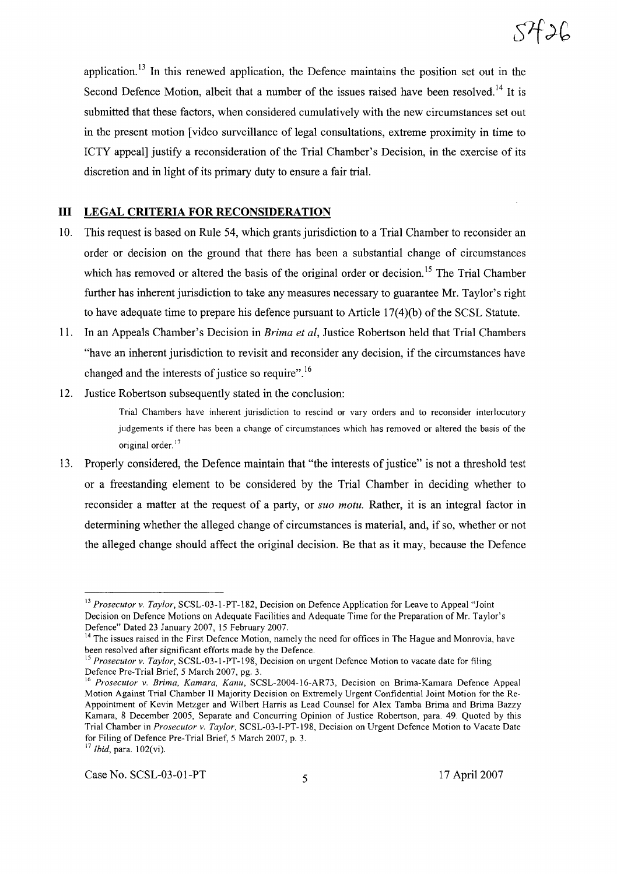application.<sup>13</sup> In this renewed application, the Defence maintains the position set out in the Second Defence Motion, albeit that a number of the issues raised have been resolved.<sup>14</sup> It is submitted that these factors, when considered cumulatively with the new circumstances set out in the present motion [video surveillance of legal consultations, extreme proximity in time to ICTY appeal] justify a reconsideration of the Trial Chamber's Decision, in the exercise of its discretion and in light of its primary duty to ensure a fair trial.

## **III LEGAL CRITERIA FOR RECONSIDERATION**

- 10. This request is based on Rule 54, which grants jurisdiction to a Trial Chamber to reconsider an order or decision on the ground that there has been a substantial change of circumstances which has removed or altered the basis of the original order or decision.<sup>15</sup> The Trial Chamber further has inherent jurisdiction to take any measures necessary to guarantee Mr. Taylor's right to have adequate time to prepare his defence pursuant to Article  $17(4)(b)$  of the SCSL Statute.
- 11. In an Appeals Chamber's Decision in *Brima et aI,* Justice Robertson held that Trial Chambers "have an inherent jurisdiction to revisit and reconsider any decision, if the circumstances have changed and the interests of justice so require".<sup>16</sup>
- 12. Justice Robertson subsequently stated in the conclusion:

Trial Chambers have inherent jurisdiction to rescind or vary orders and to reconsider interlocutory judgements if there has been a change of circumstances which has removed or altered the basis of the original order.<sup>17</sup>

13. Properly considered, the Defence maintain that "the interests of justice" is not a threshold test or a freestanding element to be considered by the Trial Chamber in deciding whether to reconsider a matter at the request of a party, or *suo motu.* Rather, it is an integral factor in determining whether the alleged change of circumstances is material, and, if so, whether or not the alleged change should affect the original decision. Be that as it may, because the Defence

<sup>13</sup> *Prosecutor* v. *Taylor,* SCSL-03-l-PT-182, Decision on Defence Application for Leave to Appeal "Joint Decision on Defence Motions on Adequate Facilities and Adequate Time for the Preparation of Mr. Taylor's Defence" Dated 23 January 2007, 15 February 2007.

<sup>&</sup>lt;sup>14</sup> The issues raised in the First Defence Motion, namely the need for offices in The Hague and Monrovia, have been resolved after significant efforts made by the Defence.

<sup>15</sup> *Prosecutor* v. *Taylor,* SCSL-03-l-PT-198, Decision on urgent Defence Motion to vacate date for filing Defence Pre-Trial Brief, 5 March 2007, pg. 3.

<sup>16</sup> *Prosecutor v. Brima, Kamara, Kanu,* SCSL-2004-l6-AR73, Decision on Brima-Kamara Defence Appeal Motion Against Trial Chamber II Majority Decision on Extremely Urgent Confidential Joint Motion for the Re-Appointment of Kevin Metzger and Wilbert Harris as Lead Counsel for Alex Tamba Brima and Brima Bazzy Kamara, 8 December 2005, Separate and Concurring Opinion of Justice Robertson, para. 49. Quoted by this Trial Chamber in *Prosecutor v. Taylor,* SCSL-03-l-PT-198, Decision on Urgent Defence Motion to Vacate Date for Filing of Defence Pre-Trial Brief, 5 March 2007, p. 3.

<sup>17</sup> *Ibid,* para. 102(vi).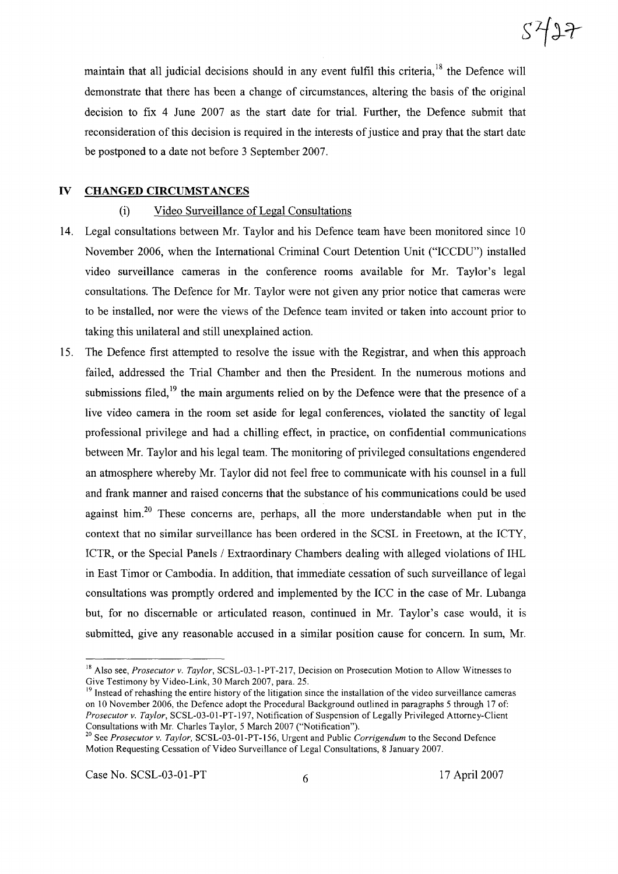maintain that all judicial decisions should in any event fulfil this criteria, $18$  the Defence will demonstrate that there has been a change of circumstances, altering the basis of the original decision to fix 4 June 2007 as the start date for trial. Further, the Defence submit that reconsideration of this decision is required in the interests of justice and pray that the start date be postponed to a date not before 3 September 2007.

## **IV CHANGED CIRCUMSTANCES**

#### (i) Video Surveillance of Legal Consultations

- 14. Legal consultations between Mr. Taylor and his Defence team have been monitored since 10 November 2006, when the International Criminal Court Detention Unit ("ICCDU") installed video surveillance cameras in the conference rooms available for Mr. Taylor's legal consultations. The Defence for Mr. Taylor were not given any prior notice that cameras were to be installed, nor were the views of the Defence team invited or taken into account prior to taking this unilateral and still unexplained action.
- 15. The Defence first attempted to resolve the issue with the Registrar, and when this approach failed, addressed the Trial Chamber and then the President. In the numerous motions and submissions filed,<sup>19</sup> the main arguments relied on by the Defence were that the presence of a live video camera in the room set aside for legal conferences, violated the sanctity of legal professional privilege and had a chilling effect, in practice, on confidential communications between Mr. Taylor and his legal team. The monitoring of privileged consultations engendered an atmosphere whereby Mr. Taylor did not feel free to communicate with his counsel in a full and frank manner and raised concerns that the substance of his communications could be used against him.<sup>20</sup> These concerns are, perhaps, all the more understandable when put in the context that no similar surveillance has been ordered in the SCSL in Freetown, at the ICTY, ICTR, or the Special Panels / Extraordinary Chambers dealing with alleged violations of IHL in East Timor or Cambodia. In addition, that immediate cessation of such surveillance of legal consultations was promptly ordered and implemented by the ICC in the case of Mr. Lubanga but, for no discernable or articulated reason, continued in Mr. Taylor's case would, it is submitted, give any reasonable accused in a similar position cause for concern. In sum, Mr.

 $5427$ 

<sup>18</sup> Also see, *Prosecutor v. Taylor,* SCSL-03-1-PT-217, Decision on Prosecution Motion to Allow Witnesses to Give Testimony by Video-Link, 30 March 2007, para. 25.

<sup>&</sup>lt;sup>19</sup> Instead of rehashing the entire history of the litigation since the installation of the video surveillance cameras on 10 November 2006, the Defence adopt the Procedural Background outlined in paragraphs 5 through 17 of: *Prosecutor v. Taylor,* SCSL-03-01-PT-197, Notification of Suspension of Legally Privileged Attorney-Client Consultations with Mr. Charles Taylor, 5 March 2007 ("Notification").

<sup>20</sup> See *Prosecutor v. Taylor,* SCSL-03-01-PT-156, Urgent and Public *Corrigendum* to the Second Defence Motion Requesting Cessation of Video Surveillance of Legal Consultations, 8 January 2007.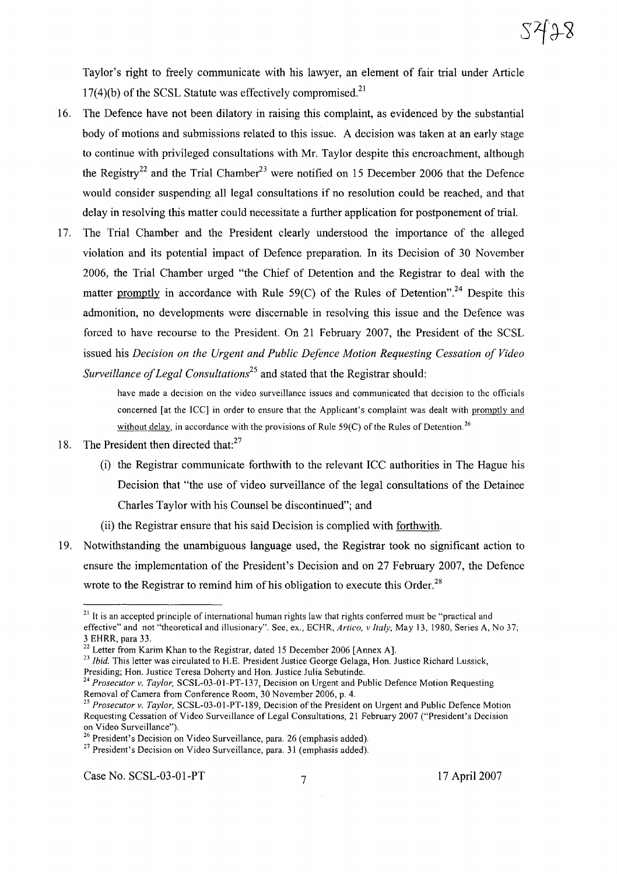Taylor's right to freely communicate with his lawyer, an element of fair trial under Article  $17(4)(b)$  of the SCSL Statute was effectively compromised.<sup>21</sup>

- 16. The Defence have not been dilatory in raising this complaint, as evidenced by the substantial body of motions and submissions related to this issue. A decision was taken at an early stage to continue with privileged consultations with Mr. Taylor despite this encroachment, although the Registry<sup>22</sup> and the Trial Chamber<sup>23</sup> were notified on 15 December 2006 that the Defence would consider suspending all legal consultations if no resolution could be reached, and that delay in resolving this matter could necessitate a further application for postponement of trial.
- 17. The Trial Chamber and the President clearly understood the importance of the alleged violation and its potential impact of Defence preparation. In its Decision of 30 November 2006, the Trial Chamber urged "the Chief of Detention and the Registrar to deal with the matter promptly in accordance with Rule  $59(C)$  of the Rules of Detention".<sup>24</sup> Despite this admonition, no developments were discemable in resolving this issue and the Defence was forced to have recourse to the President. On 21 February 2007, the President of the SCSL issued his *Decision on the Urgent and Public Defence Motion Requesting Cessation of Video Surveillance of Legal Consultations*<sup>25</sup> and stated that the Registrar should:

have made a decision on the video surveillance issues and communicated that decision to the officials concerned [at the ICC] in order to ensure that the Applicant's complaint was dealt with promptly and without delay, in accordance with the provisions of Rule 59(C) of the Rules of Detention.<sup>26</sup>

- 18. The President then directed that: $27$ 
	- (i) the Registrar communicate forthwith to the relevant ICC authorities in The Hague his Decision that "the use of video surveillance of the legal consultations of the Detainee Charles Taylor with his Counsel be discontinued"; and
	- (ii) the Registrar ensure that his said Decision is complied with forthwith.
- 19. Notwithstanding the unambiguous language used, the Registrar took no significant action to ensure the implementation of the President's Decision and on 27 February 2007, the Defence wrote to the Registrar to remind him of his obligation to execute this Order.<sup>28</sup>

<sup>&</sup>lt;sup>21</sup> It is an accepted principle of international human rights law that rights conferred must be "practical and effective" and not "theoretical and illusionary". See, ex., ECHR, *Artico, v Italy,* May 13, 1980, Series A, No 37; 3 EHRR, para 33.

<sup>&</sup>lt;sup>22</sup> Letter from Karim Khan to the Registrar, dated 15 December 2006 [Annex A].

<sup>&</sup>lt;sup>23</sup> *Ibid.* This letter was circulated to H.E. President Justice George Gelaga, Hon. Justice Richard Lussick,

Presiding; Hon. Justice Teresa Doherty and Hon. Justice Julia Sebutinde.

*<sup>24</sup> Prosecutor v. Taylor,* SCSL-03-01-PT-137, Decision on Urgent and Public Defence Motion Requesting Removal of Camera from Conference Room, 30 November 2006, p. 4.

<sup>&</sup>lt;sup>25</sup> Prosecutor v. Taylor, SCSL-03-01-PT-189, Decision of the President on Urgent and Public Defence Motion Requesting Cessation of Video Surveillance of Legal Consultations, 21 February 2007 ("President's Decision on Video Surveillance").

<sup>&</sup>lt;sup>26</sup> President's Decision on Video Surveillance, para. 26 (emphasis added).

 $27$  President's Decision on Video Surveillance, para. 31 (emphasis added).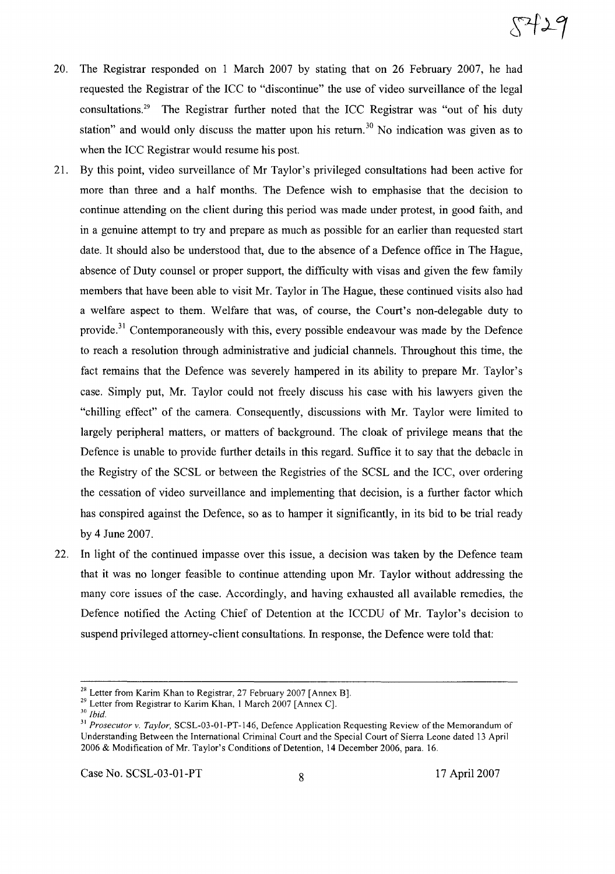- 20. The Registrar responded on I March 2007 by stating that on 26 February 2007, he had requested the Registrar of the ICC to "discontinue" the use of video surveillance of the legal consultations. <sup>29</sup> The Registrar further noted that the ICC Registrar was "out of his duty station" and would only discuss the matter upon his return.<sup>30</sup> No indication was given as to when the ICC Registrar would resume his post.
- 21. By this point, video surveillance of Mr Taylor's privileged consultations had been active for more than three and a half months. The Defence wish to emphasise that the decision to continue attending on the client during this period was made under protest, in good faith, and in a genuine attempt to try and prepare as much as possible for an earlier than requested start date. It should also be understood that, due to the absence of a Defence office in The Hague, absence of Duty counsel or proper support, the difficulty with visas and given the few family members that have been able to visit Mr. Taylor in The Hague, these continued visits also had a welfare aspect to them. Welfare that was, of course, the Court's non-delegable duty to provide.<sup>31</sup> Contemporaneously with this, every possible endeavour was made by the Defence to reach a resolution through administrative and judicial channels. Throughout this time, the fact remains that the Defence was severely hampered in its ability to prepare Mr. Taylor's case. Simply put, Mr. Taylor could not freely discuss his case with his lawyers given the "chilling effect" of the camera. Consequently, discussions with Mr. Taylor were limited to largely peripheral matters, or matters of background. The cloak of privilege means that the Defence is unable to provide further details in this regard. Suffice it to say that the debacle in the Registry of the SCSL or between the Registries of the SCSL and the ICC, over ordering the cessation of video surveillance and implementing that decision, is a further factor which has conspired against the Defence, so as to hamper it significantly, in its bid to be trial ready by 4 June 2007.
- 22. In light of the continued impasse over this issue, a decision was taken by the Defence team that it was no longer feasible to continue attending upon Mr. Taylor without addressing the many core issues of the case. Accordingly, and having exhausted all available remedies, the Defence notified the Acting Chief of Detention at the ICCDU of Mr. Taylor's decision to suspend privileged attorney-client consultations. In response, the Defence were told that:

Case No. SCSL-03-01-PT 8 17 April 2007

<sup>&</sup>lt;sup>28</sup> Letter from Karim Khan to Registrar, 27 February 2007 [Annex B].

<sup>&</sup>lt;sup>29</sup> Letter from Registrar to Karim Khan, 1 March 2007 [Annex C].

*<sup>30</sup> Ibid.*

<sup>31</sup> *Prosecutor v. Taylor,* SCSL-03-01-PT-146, Defence Application Requesting Review ofthe Memorandum of Understanding Between the International Criminal Court and the Special Court of Sierra Leone dated 13 April 2006 & Modification of Mr. Taylor's Conditions of Detention, 14 December 2006, para. 16.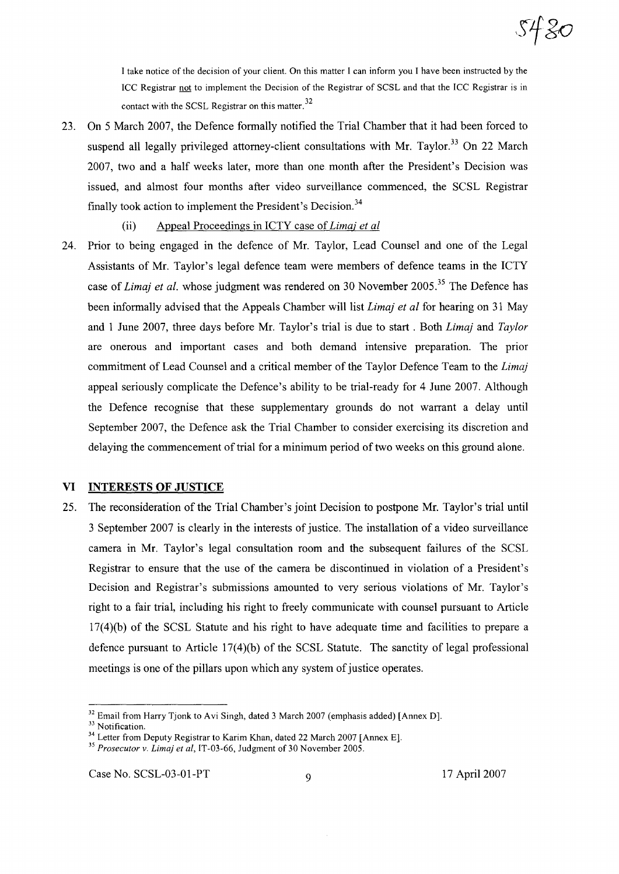

I take notice ofthe decision of your client. On this matter I can inform you I have been instructed by the ICC Registrar not to implement the Decision of the Registrar of SCSL and that the ICC Registrar is in contact with the SCSL Registrar on this matter. 32

- 23. On 5 March 2007, the Defence formally notified the Trial Chamber that it had been forced to suspend all legally privileged attorney-client consultations with Mr. Taylor.<sup>33</sup> On 22 March 2007, two and a half weeks later, more than one month after the President's Decision was issued, and almost four months after video surveillance commenced, the SCSL Registrar finally took action to implement the President's Decision.<sup>34</sup>
	- (ii) Appeal Proceedings in ICTY case of*Lima; et al*
- 24. Prior to being engaged in the defence of Mr. Taylor, Lead Counsel and one of the Legal Assistants of Mr. Taylor's legal defence team were members of defence teams in the ICTY case of *Lima} et al.* whose judgment was rendered on 30 November 2005.3<sup>5</sup> The Defence has been informally advised that the Appeals Chamber will list *Limaj et al* for hearing on 31 May and 1 June 2007, three days before Mr. Taylor's trial is due to start. Both *Lima}* and *Taylor* are onerous and important cases and both demand intensive preparation. The prior commitment of Lead Counsel and a critical member of the Taylor Defence Team to the *Lima}* appeal seriously complicate the Defence's ability to be trial-ready for 4 June 2007. Although the Defence recognise that these supplementary grounds do not warrant a delay until September 2007, the Defence ask the Trial Chamber to consider exercising its discretion and delaying the commencement of trial for a minimum period of two weeks on this ground alone.

## **VI INTERESTS OF JUSTICE**

25. The reconsideration of the Trial Chamber's joint Decision to postpone Mr. Taylor's trial until 3 September 2007 is clearly in the interests of justice. The installation of a video surveillance camera in Mr. Taylor's legal consultation room and the subsequent failures of the SCSL Registrar to ensure that the use of the camera be discontinued in violation of a President's Decision and Registrar's submissions amounted to very serious violations of Mr. Taylor's right to a fair trial, including his right to freely communicate with counsel pursuant to Article 17(4)(b) of the SCSL Statute and his right to have adequate time and facilities to prepare a defence pursuant to Article  $17(4)(b)$  of the SCSL Statute. The sanctity of legal professional meetings is one of the pillars upon which any system of justice operates.

<sup>&</sup>lt;sup>32</sup> Email from Harry Tjonk to Avi Singh, dated 3 March 2007 (emphasis added) [Annex D].

<sup>&</sup>lt;sup>33</sup> Notification.

<sup>&</sup>lt;sup>34</sup> Letter from Deputy Registrar to Karim Khan, dated 22 March 2007 [Annex E].

*<sup>35</sup> Prosecutor v. Lima} et ai,* IT-03-66, Judgment of 30 November 2005.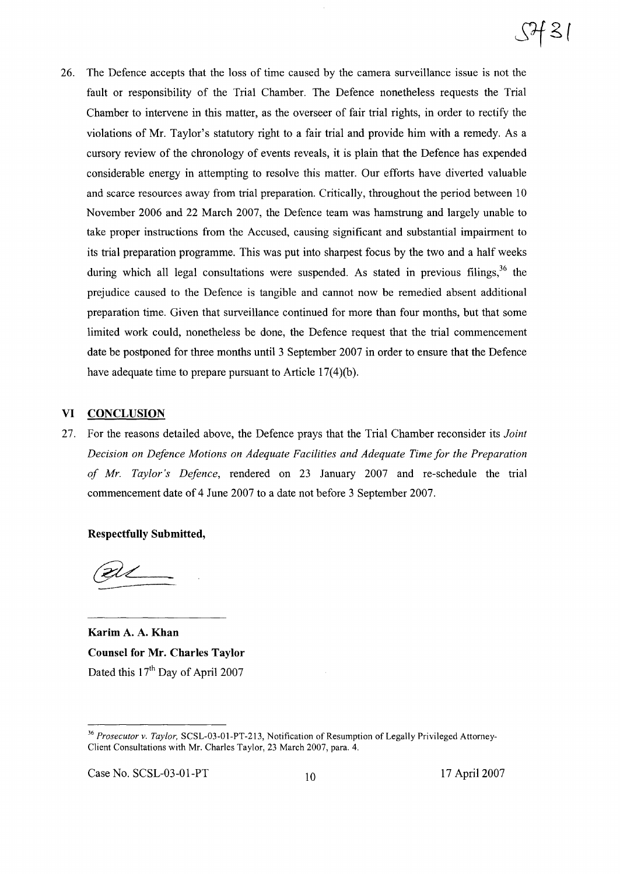26. The Defence accepts that the loss of time caused by the camera surveillance issue is not the fault or responsibility of the Trial Chamber. The Defence nonetheless requests the Trial Chamber to intervene in this matter, as the overseer of fair trial rights, in order to rectify the violations of Mr. Taylor's statutory right to a fair trial and provide him with a remedy. As a cursory review of the chronology of events reveals, it is plain that the Defence has expended considerable energy in attempting to resolve this matter. Our efforts have diverted valuable and scarce resources away from trial preparation. Critically, throughout the period between 10 November 2006 and 22 March 2007, the Defence team was hamstrung and largely unable to take proper instructions from the Accused, causing significant and substantial impairment to its trial preparation programme. This was put into sharpest focus by the two and a half weeks during which all legal consultations were suspended. As stated in previous filings,  $36$  the prejudice caused to the Defence is tangible and cannot now be remedied absent additional preparation time. Given that surveillance continued for more than four months, but that some limited work could, nonetheless be done, the Defence request that the trial commencement date be postponed for three months until 3 September 2007 in order to ensure that the Defence have adequate time to prepare pursuant to Article  $17(4)(b)$ .

## **VI CONCLUSION**

27. For the reasons detailed above, the Defence prays that the Trial Chamber reconsider its *Joint Decision on Defence Motions on Adequate Facilities and Adequate Time for the Preparation of Mr. Taylor's Defence,* rendered on 23 January 2007 and re-schedule the trial commencement date of 4 June 2007 to a date not before 3 September 2007.

**Respectfully Submitted,**

ZVI.

**Karim** A. A. **Khan Counsel for Mr. Charles Taylor** Dated this  $17<sup>th</sup>$  Day of April 2007

Case No. SCSL-03-01-PT 10 17 April 2007

<sup>&</sup>lt;sup>36</sup> *Prosecutor v. Taylor*, SCSL-03-01-PT-213, Notification of Resumption of Legally Privileged Attorney-Client Consultations with Mr. Charles Taylor, 23 March 2007, para. 4.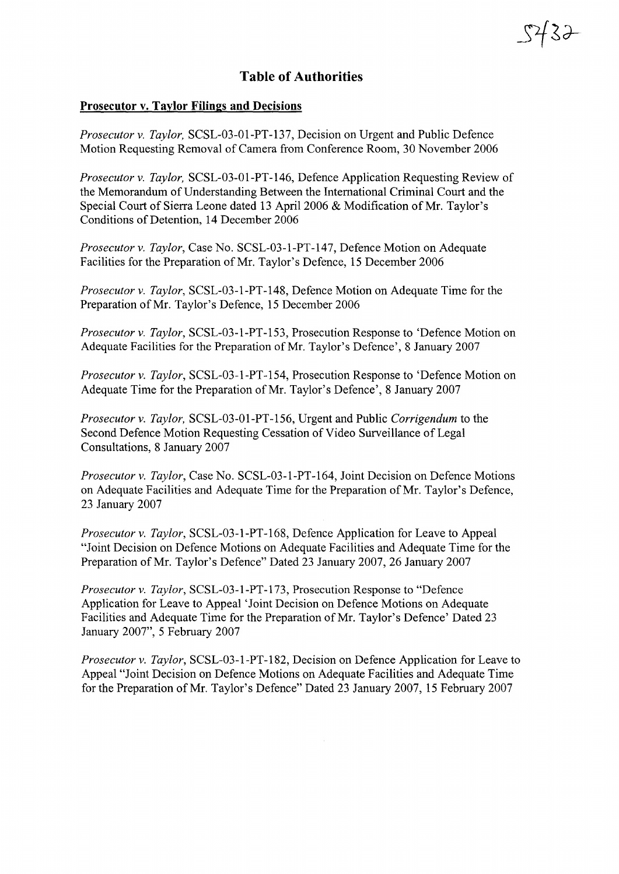## **Table of Authorities**

5432

## **Prosecutor v. Taylor Filings and Decisions**

*Prosecutor* v. *Taylor,* SCSL-03-01-PT-137, Decision on Urgent and Public Defence Motion Requesting Removal ofCamera from Conference Room, 30 November 2006

*Prosecutor* v. *Taylor,* SCSL-03-01-PT-146, Defence Application Requesting Review of the Memorandum of Understanding Between the International Criminal Court and the Special Court of Sierra Leone dated 13 April 2006 & Modification of Mr. Taylor's Conditions of Detention, 14 December 2006

*Prosecutor* v. *Taylor,* Case No. SCSL-03-1-PT-147, Defence Motion on Adequate Facilities for the Preparation of Mr. Taylor's Defence, 15 December 2006

*Prosecutor* v. *Taylor,* SCSL-03-1-PT-148, Defence Motion on Adequate Time for the Preparation of Mr. Taylor's Defence, 15 December 2006

*Prosecutor* v. *Taylor,* SCSL-03-1-PT-153, Prosecution Response to 'Defence Motion on Adequate Facilities for the Preparation of Mr. Taylor's Defence', 8 January 2007

*Prosecutor* v. *Taylor,* SCSL-03-1-PT-154, Prosecution Response to 'Defence Motion on Adequate Time for the Preparation of Mr. Taylor's Defence', 8 January 2007

*Prosecutor* v. *Taylor,* SCSL-03-01-PT-156, Urgent and Public *Corrigendum* to the Second Defence Motion Requesting Cessation of Video Surveillance of Legal Consultations, 8 January 2007

*Prosecutor* v. *Taylor,* Case No. SCSL-03-1-PT-164, Joint Decision on Defence Motions on Adequate Facilities and Adequate Time for the Preparation of Mr. Taylor's Defence, 23 January 2007

*Prosecutor* v. *Taylor,* SCSL-03-1-PT-168, Defence Application for Leave to Appeal "Joint Decision on Defence Motions on Adequate Facilities and Adequate Time for the Preparation ofMr. Taylor's Defence" Dated 23 January 2007,26 January 2007

*Prosecutor* v. *Taylor,* SCSL-03-1-PT-173, Prosecution Response to "Defence Application for Leave to Appeal 'Joint Decision on Defence Motions on Adequate Facilities and Adequate Time for the Preparation of Mr. Taylor's Defence' Dated 23 January 2007", 5 February 2007

*Prosecutor* v. *Taylor,* SCSL-03-1-PT-182, Decision on Defence Application for Leave to Appeal "Joint Decision on Defence Motions on Adequate Facilities and Adequate Time for the Preparation of Mr. Taylor's Defence" Dated 23 January 2007, 15 February 2007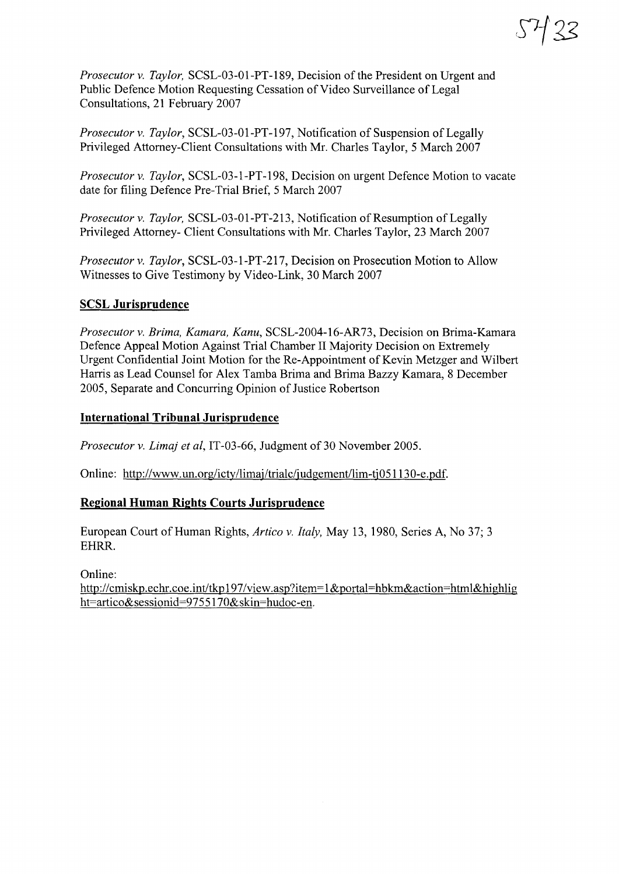*Prosecutor* v. *Taylor*, SCSL-03-01-PT-189, Decision of the President on Urgent and Public Defence Motion Requesting Cessation of Video Surveillance of Legal Consultations, 21 February 2007

*Prosecutor v. Taylor,* SCSL-03-01-PT-197, Notification of Suspension of Legally Privileged Attorney-Client Consultations with Mr. Charles Taylor, 5 March 2007

*Prosecutor* v. *Taylor,* SCSL-03-l-PT-198, Decision on urgent Defence Motion to vacate date for filing Defence Pre-Trial Brief, 5 March 2007

*Prosecutor v. Taylor,* SCSL-03-01-PT-213, Notification of Resumption of Legally Privileged Attorney- Client Consultations with Mr. Charles Taylor, 23 March 2007

*Prosecutor* v. *Taylor,* SCSL-03-1-PT-217, Decision on Prosecution Motion to Allow Witnesses to Give Testimony by Video-Link, 30 March 2007

## **SCSL Jurisprudence**

*Prosecutor* v. *Brima, Kamara, Kanu,* SCSL-2004-16-AR73, Decision on Brima-Kamara Defence Appeal Motion Against Trial Chamber II Majority Decision on Extremely Urgent Confidential Joint Motion for the Re-Appointment of Kevin Metzger and Wilbert Harris as Lead Counsel for Alex Tamba Brima and Brima Bazzy Kamara, 8 December 2005, Separate and Concurring Opinion of Justice Robertson

## **International Tribunal Jurisprudence**

*Prosecutor v. Limaj et al, IT-03-66, Judgment of 30 November 2005.* 

Online: http://www.un.org/icty/limaj/trialc/judgement/lim-tj05113O-e.pdf.

## **Regional Human Rights Courts Jurisprudence**

European Court of Human Rights, *Artico* v. *Italy,* May 13, 1980, Series A, No 37; 3 EHRR.

Online:

http://cmiskp.echr.coe.int/tkp197/view.asp?item=1&portal=hbkm&action=html&highlig ht=artico&sessionid=9755170&skin=hudoc-en.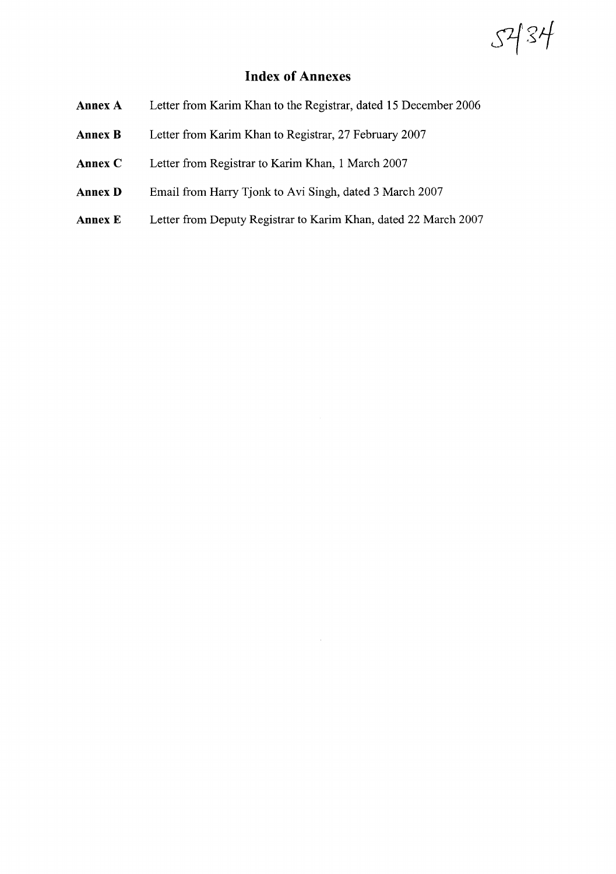$5434$ 

## **Index of Annexes**

- **AnnexA** Letter from Karim Khan to the Registrar, dated 15 December 2006
- **Annex B** Letter from Karim Khan to Registrar, 27 February 2007
- **Annex** C Letter from Registrar to Karim Khan, 1 March 2007
- **Annex D** Email from Harry Tjonk to Avi Singh, dated 3 March 2007
- **Annex E** Letter from Deputy Registrar to Karim Khan, dated 22 March 2007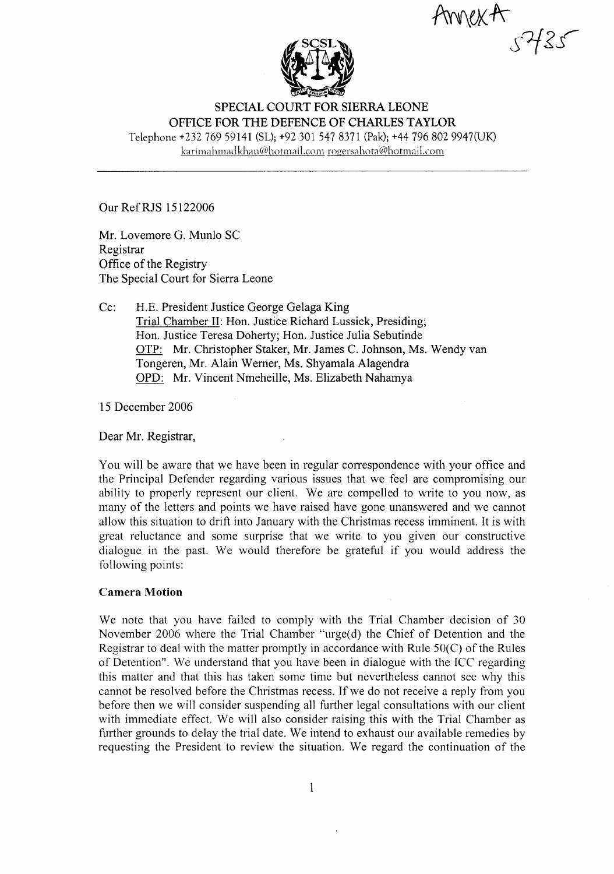AnnexA



SPECIAL COURT FOR SIERRA LEONE OFFICE FOR THE DEFENCE OF CHARLES TAYLOR Telephone +232 769 59141 (SL); +92 301 547 8371 (Pak); +44 796 802 9947(UK)

karimahmadkhan@hotmail.com rogersahota@hotmail.com

Our RefRJS 15122006

Mr. Lovemore G. Munlo SC Registrar Office of the Registry The Special Court for Sierra Leone

Cc: H.E. President Justice George Gelaga King Trial Chamber II: Hon. Justice Richard Lussick, Presiding; Hon. Justice Teresa Doherty; Hon. Justice Julia Sebutinde OTP: Mr. Christopher Staker, Mr. James C. Johnson, Ms. Wendy van Tongeren, Mr. Alain Werner, Ms. Shyamala Alagendra OPD: Mr. Vincent Nmeheille, Ms. Elizabeth Nahamya

15 December 2006

Dear Mr. Registrar,

You will be aware that we have been in regular correspondence with your office and the Principal Defender regarding various issues that we feel are compromising our ability to properly represent our client. We are compelled to write to you now, as many of the letters and points we have raised have gone unanswered and we cannot allow this situation to drift into January with the Christmas recess imminent. It is with great reluctance and some surprise that we write to you given our constructive dialogue in the past. We would therefore be grateful if you would address the following points:

## Camera Motion

We note that you have failed to comply with the Trial Chamber decision of 30 November 2006 where the Trial Chamber "urge(d) the Chief of Detention and the Registrar to deal with the matter promptly in accordance with Rule  $50(C)$  of the Rules of Detention". We understand that you have been in dialogue with the ICC regarding this matter and that this has taken some time but nevertheless cannot see why this cannot be resolved before the Christmas recess. If we do not receive a reply from you before then we will consider suspending all further legal consultations with our client with immediate effect. We will also consider raising this with the Trial Chamber as further grounds to delay the trial date. We intend to exhaust our available remedies by requesting the President to review the situation. We regard the continuation of the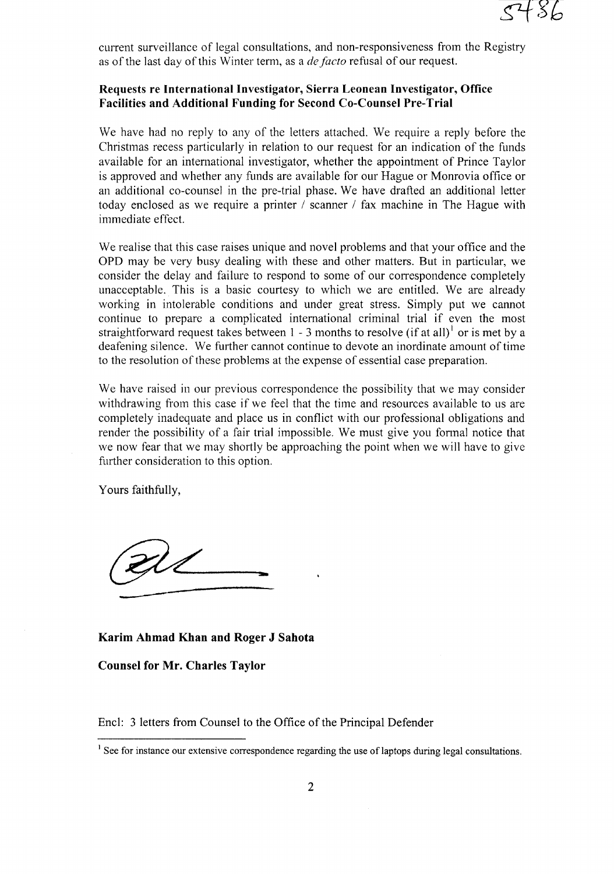current surveillance of legal consultations, and non-responsiveness from the Registry as of the last day of this Winter term, as a *de facto* refusal of our request.

## **Requests re International Investigator, Sierra Leonean Investigator, Office Facilities and Additional Funding for Second Co-Counsel Pre-Trial**

We have had no reply to any of the letters attached. We require a reply before the Christmas recess particularly in relation to our request for an indication of the funds available for an international investigator, whether the appointment of Prince Taylor is approved and whether any funds are available for our Hague or Monrovia office or an additional co-counsel in the pre-trial phase. We have drafted an additional letter today enclosed as we require a printer / scanner / fax machine in The Hague with immediate effect.

We realise that this case raises unique and novel problems and that your office and the OPD may be very busy dealing with these and other matters. But in particular, we consider the delay and failure to respond to some of our correspondence completely unacceptable. This is a basic courtesy to which we are entitled. We are already working in intolerable conditions and under great stress. Simply put we cannot continue to prepare a complicated international criminal trial if even the most straightforward request takes between  $1 - 3$  months to resolve (if at all)<sup>1</sup> or is met by a deafening silence. We further cannot continue to devote an inordinate amount of time to the resolution of these problems at the expense of essential case preparation.

We have raised in our previous correspondence the possibility that we may consider withdrawing from this case if we feel that the time and resources available to us are completely inadequate and place us in conflict with our professional obligations and render the possibility of a fair trial impossible. We must give you fonnal notice that we now fear that we may shortly be approaching the point when we will have to give further consideration to this option.

Yours faithfully,

**--**

**Karim Ahmad Khan and Roger J Sahota**

**Counsel for Mr. Charles Taylor**

Encl: 3 letters from Counsel to the Office of the Principal Defender

 $<sup>1</sup>$  See for instance our extensive correspondence regarding the use of laptops during legal consultations.</sup>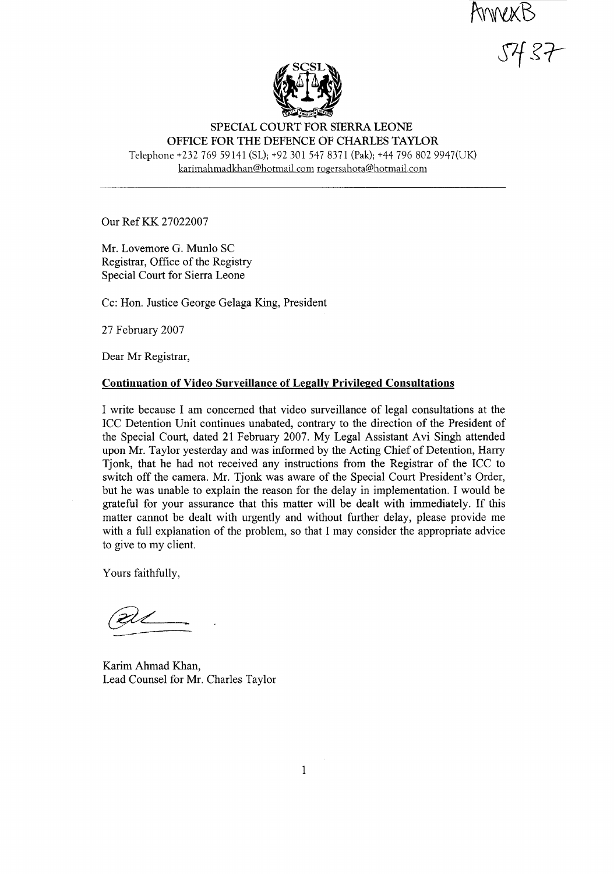AnnexB<br>5437



SPECIAL COURT FOR SIERRA LEONE OFFICE FOR THE DEFENCE OF CHARLES TAYLOR Telephone +23276959141 (SL); +92 3015478371 (Pak); +44 796 802 9947(UK) karimahmadkhan@hotmail.com rogersahota@hotmail.com

Our RefKK 27022007

Mr. Lovemore G. Munlo SC Registrar, Office of the Registry Special Court for Sierra Leone

Cc: Hon. Justice George Gelaga King, President

27 February 2007

Dear Mr Registrar,

## Continuation of Video Surveillance of Legally Privileged Consultations

I write because I am concerned that video surveillance of legal consultations at the ICC Detention Unit continues unabated, contrary to the direction of the President of the Special Court, dated 21 February 2007. My Legal Assistant Avi Singh attended upon Mr. Taylor yesterday and was informed by the Acting Chief of Detention, Harry Tjonk, that he had not received any instructions from the Registrar of the ICC to switch off the camera. Mr. Tjonk was aware of the Special Court President's Order, but he was unable to explain the reason for the delay in implementation. I would be grateful for your assurance that this matter will be dealt with immediately. If this matter cannot be dealt with urgently and without further delay, please provide me with a full explanation of the problem, so that I may consider the appropriate advice to give to my client.

Yours faithfully,

Karim Ahmad Khan, Lead Counsel for Mr. Charles Taylor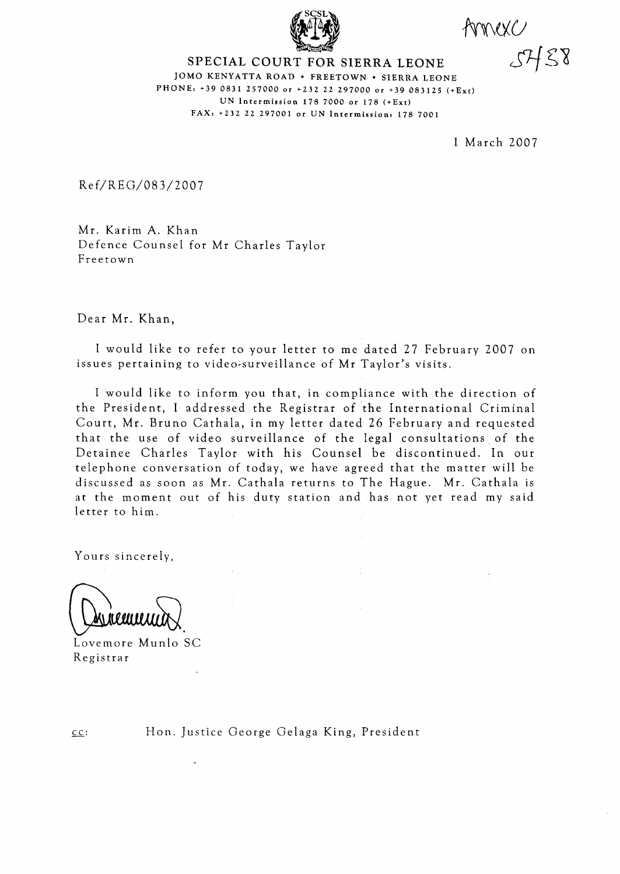

Amexc

JOMO KENYATTA ROAD · FREETOWN · SIERRA LEONE PHONE: +39 0831 257000 or +232 22 297000 or +39 083125 (+Ext) UN Intermission 178 7000 or 178 (+Ext) FAX, +232 22 297001 or UN Intermission. 178 7001

1 March 2007

Ref/REG/083/2007

Mr. Karim A. Khan Defence Counsel for Mr Charles Taylor Freetown

Dear Mr. Khan,

I would like to refer to your letter to me dated 27 February 2007 on issues pertaining to video-surveillance of Mr Taylor's visits.

I would like to inform you that, in compliance with the direction of the President, I addressed the Registrar of the International Criminal Court, Mr. Bruno Cathala, in my letter dated 26 February and requested that the use of video surveillance of the legal consultations of the Detainee Charles Taylor with his Counsel be discontinued. In our telephone conversation of today, we have agreed that the matter will be discussed as soon as Mr. Cathala returns to The Hague. Mr. Cathala is at the moment out of his duty station and has not yet read my said letter to him.

Yours sincerely,

Lovemore Munlo SC Registrar

 $cc:$ 

Hon. Justice George Gelaga King, President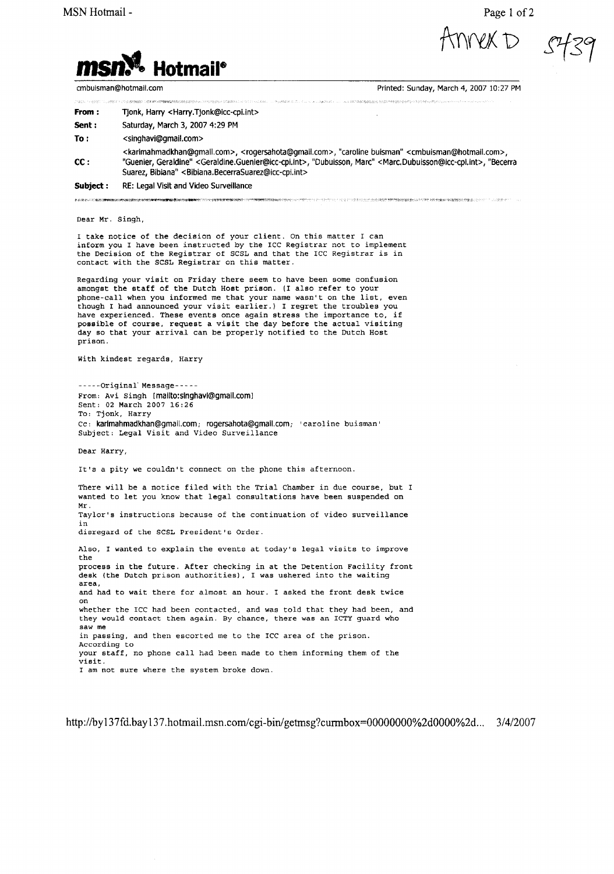Page 1 of 2

**MEX D** 



cmbuisman@hotmall.com

Printed: Sunday, March 4, 2007 10:27 PM

| 13.1 地域の予 <b>定サを定めるということができるというのかないですが、この型がものを変更を変更しているのは、この制度を</b> のサイトのサイトを使うことが、特に地域の2012年のサイトを入れているのは、この中では、この中でのサイトのサイトを<br>그 승규가 많은 일은 일은 일은 일은 사람들이 <b>있어? "전기 시작을 받은 일을 받아</b> 있는 것 같은 일에 대해서 <b>그 사람들이 없는 것은 그렇게 없는 것이 있는</b> 것 같은 것 같은 그 그 그는 일을 알려 주었다"고 " |                                                                                                                                                                                                                                                                                                                                                                                                                               |
|-----------------------------------------------------------------------------------------------------------------------------------------------------------------------------------------------------------------------------------------------------------------------|-------------------------------------------------------------------------------------------------------------------------------------------------------------------------------------------------------------------------------------------------------------------------------------------------------------------------------------------------------------------------------------------------------------------------------|
| Subject :                                                                                                                                                                                                                                                             | RE: Legal Visit and Video Surveillance                                                                                                                                                                                                                                                                                                                                                                                        |
| cc:                                                                                                                                                                                                                                                                   | <karimahmadkhan@gmail.com>, <rogersahota@gmail.com>, "caroline buisman" <cmbuisman@hotmail.com>,<br/>"Guenier, Geraldine" <geraldine.guenier@icc-cpi.int>, "Dubuisson, Marc" <marc.dubuisson@icc-cpi.int>, "Becerra<br/>Suarez, Bibiana" &lt; Bibiana. Becerra Suarez@icc-cpi.int&gt;</marc.dubuisson@icc-cpi.int></geraldine.guenier@icc-cpi.int></cmbuisman@hotmail.com></rogersahota@gmail.com></karimahmadkhan@gmail.com> |
| To :                                                                                                                                                                                                                                                                  | <singhavi@gmail.com></singhavi@gmail.com>                                                                                                                                                                                                                                                                                                                                                                                     |
| Sent :                                                                                                                                                                                                                                                                | Saturday, March 3, 2007 4:29 PM                                                                                                                                                                                                                                                                                                                                                                                               |
| From :                                                                                                                                                                                                                                                                | Tjonk, Harry <harry.tjonk@icc-cpi.int></harry.tjonk@icc-cpi.int>                                                                                                                                                                                                                                                                                                                                                              |
|                                                                                                                                                                                                                                                                       | アセントリとは、「、アルバリングの実現の2014年には、1999年には、1999年による1999年には、1999年には、1999年によって、1999年によって、1999年には、1999年には、1999年には、1999年には、1999年には、1999年には、1999年には、1999年には、1999年には、1999年には、1999年には、1999年には、1999年には、1999年には、1999年には、1999年には、1999年には、1999                                                                                                                                                                                                  |

Dear Mr. Singh,

I take notice of the decision of your client. On this matter I can inform you I have been instructed by the ICC Registrar not to implement the Decision of the Registrar of SCSL and that the ICC Registrar is in contact with the SCSL Registrar on this matter.

Regarding your visit on Friday there seem to have been some confusion amongst the staff of the Dutch Host prison. (I also refer to your phone-call when you informed me that your name wasn't on the list, even though <sup>I</sup> had announced your visit earlier.) <sup>I</sup> regret the troubles you have experienced. These events once again stress the importance to, if possible of course, request <sup>a</sup> visit the day before the actual visiting day so that your arrival can be properly notified to the Dutch Host prison.

with kindest regards, Harry

-----Original'Message----- From: Avi Singh [mallto:slnghavl@gmail.coml Sent: 02 March 2007 16:26 To: Tjonk, Harry Cc: karlmahmadkhan@gmail.com; rogersahota@gmall.com; 'caroline buisman' Subject: Legal Visit and Video Surveillance

Dear Harry,

It's <sup>a</sup> pity we couldn't connect on the phone this afternoon.

There will be a notice filed with the Trial Chamber in due course. but I wanted to let you know that legal consultations have been suspended on Mr, Taylor's instructions because of the continuation of video surveillance in disregard of the SCSL President's Order.

Also. I wanted to explain the events at today's legal visits to improve the process in the future. After checking in at the Detention Facility front desk (the Dutch prison authorities), I was ushered into the waiting **area,** and had to wait there for almost an hour. I asked the front desk twice on whether the ICC had been contacted, and was told that they had been, and they would contact them again. By chance, there was an ICTY guard who **saw me** in passing, and then escorted me to the ICC area of the prison. According to your staff, no phone call had been made to them informing them of the visit. I am not sure where the system broke down.

http://by137fd.bay137.hotmail.msn.com/cgi-bin/getmsg?currnbox=00000000%2d0000%2d... 3/4/2007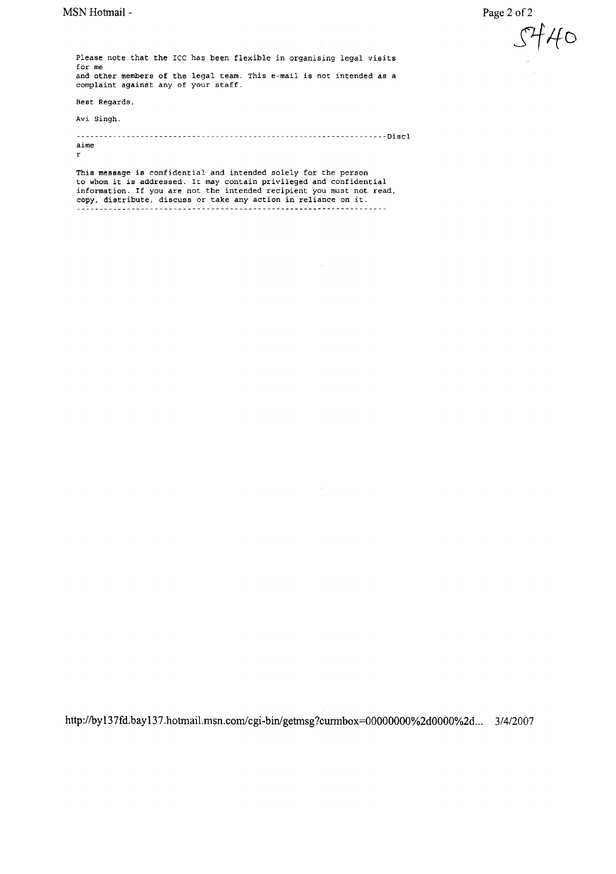Page 2 of 2

*SJ-fIfD*

Please note that the ICC has been flexible in organising legal visits for me and other members of the legal team. This e-mail is not intended as a complaint against any of your staff.

Best Regards.

Avi singh.

-------------------------------------------------------------------Discl aime r

This message is confidential and intended solely for the person to whom it is addressed. It may contain privileged and confidential information. If you are not the intended recipient you must not read, copy, distribute. discuss or take any action in reliance on it.

**http://byI37fd.bayI37.hotmail.msn.com/cgi**-bin/getmsg?curmbox=00000000%2dOOOO%2d... 3/4/2007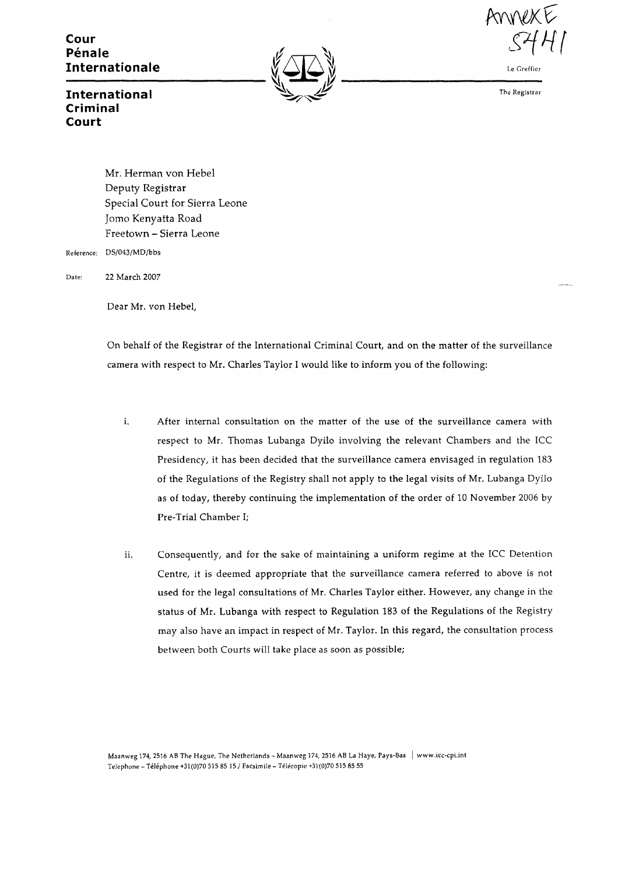**Cour Pénale Internationale**





**Le\_G\_ref\_fier**

The Registrar

## **International Criminal Court**

Mr. Herman von Hebel Deputy Registrar Special Court for Sierra Leone Jomo Kenyatta Road Freetown - Sierra Leone Reference: DS/043/MD/bbs

Date: 22 March 2007

Dear Mr. von Hebel,

On behalf of the Registrar of the International Criminal Court, and on the matter of the surveillance camera with respect to Mr. Charles Taylor I would like to inform you of the following:

- i. After internal consultation on the matter of the use of the surveillance camera with respect to Mr. Thomas Lubanga Dyilo involving the relevant Chambers and the ICC Presidency, it has been decided that the surveillance camera envisaged in regulation 183 of the Regulations of the Registry shall not apply to the legal visits of Mr. Lubanga Dyilo as of today, thereby continuing the implementation of the order of 10 November 2006 by Pre-Trial Chamber I;
- ii. Consequently, and for the sake of maintaining a uniform regime at the ICC Detention Centre, it is deemed appropriate that the surveillance camera referred to above is not used for the legal consultations of Mr. Charles Taylor either. However, any change in the status of Mr. Lubanga with respect to Regulation 183 of the Regulations of the Registry may also have an impact in respect of Mr. Taylor. In this regard, the consultation process between both Courts will take place as soon as possible;